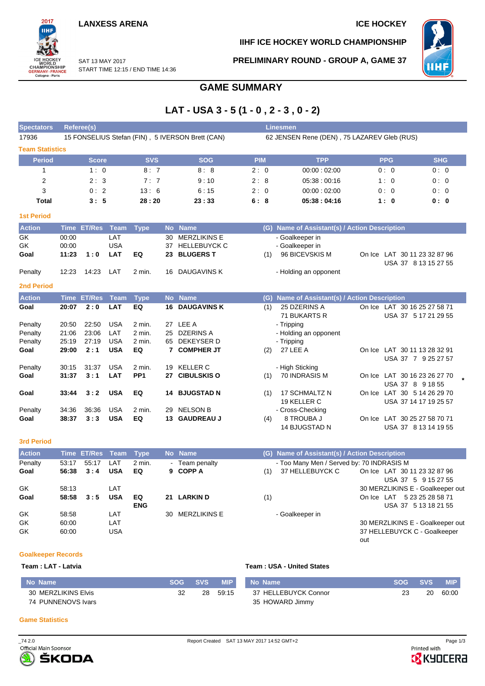2017 WORLD<br>CHAMPIONSHIP<br>GERMANY-FRANCE<br>Cologne - Paris

**IIHF ICE HOCKEY WORLD CHAMPIONSHIP**

**PRELIMINARY ROUND - GROUP A, GAME 37**



SAT 13 MAY 2017 START TIME 12:15 / END TIME 14:36

### **GAME SUMMARY**

## **LAT - USA 3 - 5 (1 - 0 , 2 - 3 , 0 - 2)**

| <b>Spectators</b>      |             | <b>Referee(s)</b> |             |                 |           |                                                  |            | <b>Linesmen</b>                             |                                               |  |            |                                                      |  |  |
|------------------------|-------------|-------------------|-------------|-----------------|-----------|--------------------------------------------------|------------|---------------------------------------------|-----------------------------------------------|--|------------|------------------------------------------------------|--|--|
| 17936                  |             |                   |             |                 |           | 15 FONSELIUS Stefan (FIN), 5 IVERSON Brett (CAN) |            | 62 JENSEN Rene (DEN), 75 LAZAREV Gleb (RUS) |                                               |  |            |                                                      |  |  |
| <b>Team Statistics</b> |             |                   |             |                 |           |                                                  |            |                                             |                                               |  |            |                                                      |  |  |
| <b>Period</b>          |             | <b>Score</b>      |             | <b>SVS</b>      |           | <b>SOG</b>                                       | <b>PIM</b> |                                             | <b>TPP</b>                                    |  | <b>PPG</b> | <b>SHG</b>                                           |  |  |
| $\mathbf{1}$           |             | 1:0               |             | 8:7             |           | 8:8                                              | 2:0        |                                             | 00:00:02:00                                   |  | 0:0        | 0:0                                                  |  |  |
| $\overline{2}$         |             | 2:3               |             | 7:7             |           | 9:10                                             | 2:8        |                                             | 05:38:00:16                                   |  | 1:0        | 0:0                                                  |  |  |
| 3                      |             | 0:2               |             | 13:6            |           | 6:15                                             | 2:0        |                                             | 00:00:02:00                                   |  | 0:0        | 0:0                                                  |  |  |
| <b>Total</b>           |             | 3:5               |             | 28:20           |           | 23:33                                            | 6:8        |                                             | 05:38:04:16                                   |  | 1:0        | 0: 0                                                 |  |  |
| <b>1st Period</b>      |             |                   |             |                 |           |                                                  |            |                                             |                                               |  |            |                                                      |  |  |
| <b>Action</b>          |             | Time ET/Res Team  |             | <b>Type</b>     |           | No Name                                          |            |                                             | (G) Name of Assistant(s) / Action Description |  |            |                                                      |  |  |
| GK                     | 00:00       |                   | LAT         |                 | 30        | <b>MERZLIKINS E</b>                              |            |                                             | - Goalkeeper in                               |  |            |                                                      |  |  |
| GK                     | 00:00       |                   | <b>USA</b>  |                 | 37        | <b>HELLEBUYCK C</b>                              |            |                                             | - Goalkeeper in                               |  |            |                                                      |  |  |
| Goal                   | 11:23       | 1:0               | <b>LAT</b>  | EQ              | 23        | <b>BLUGERS T</b>                                 |            | (1)                                         | 96 BICEVSKIS M                                |  |            | On Ice LAT 30 11 23 32 87 96<br>USA 37 8 13 15 27 55 |  |  |
| Penalty                | 12:23       | 14:23             | LAT         | 2 min.          | 16.       | <b>DAUGAVINS K</b>                               |            |                                             | - Holding an opponent                         |  |            |                                                      |  |  |
| <b>2nd Period</b>      |             |                   |             |                 |           |                                                  |            |                                             |                                               |  |            |                                                      |  |  |
| <b>Action</b>          | <b>Time</b> | <b>ET/Res</b>     | <b>Team</b> | <b>Type</b>     | <b>No</b> | <b>Name</b>                                      |            | (G)                                         | Name of Assistant(s) / Action Description     |  |            |                                                      |  |  |
| Goal                   | 20:07       | 2:0               | LAT         | EQ              | 16        | <b>DAUGAVINS K</b>                               |            | (1)                                         | 25 DZERINS A                                  |  |            | On Ice LAT 30 16 25 27 58 71                         |  |  |
|                        |             |                   |             |                 |           |                                                  |            |                                             | 71 BUKARTS R                                  |  |            | USA 37 5 17 21 29 55                                 |  |  |
| Penalty                | 20:50       | 22:50             | <b>USA</b>  | 2 min.          |           | 27 LEE A                                         |            |                                             | - Tripping                                    |  |            |                                                      |  |  |
| Penalty                | 21:06       | 23:06             | LAT         | 2 min.          | 25        | <b>DZERINS A</b>                                 |            |                                             | - Holding an opponent                         |  |            |                                                      |  |  |
| Penalty                | 25:19       | 27:19             | <b>USA</b>  | 2 min.          | 65        | DEKEYSER D                                       |            |                                             | - Tripping                                    |  |            |                                                      |  |  |
| Goal                   | 29:00       | 2:1               | <b>USA</b>  | EQ              | 7         | <b>COMPHER JT</b>                                |            | (2)                                         | 27 LEE A                                      |  |            | On Ice LAT 30 11 13 28 32 91                         |  |  |
|                        |             |                   |             |                 |           |                                                  |            |                                             |                                               |  |            | USA 37 7 9 25 27 57                                  |  |  |
| Penalty                | 30:15       | 31:37             | <b>USA</b>  | 2 min.          | 19        | <b>KELLER C</b>                                  |            |                                             | - High Sticking                               |  |            |                                                      |  |  |
| Goal                   | 31:37       | 3:1               | LAT         | PP <sub>1</sub> | 27        | <b>CIBULSKIS O</b>                               |            | (1)                                         | 70 INDRASIS M                                 |  |            | On Ice LAT 30 16 23 26 27 70                         |  |  |
|                        |             |                   |             |                 |           |                                                  |            |                                             |                                               |  |            | USA 37 8 9 18 55                                     |  |  |
| Goal                   | 33:44       | 3:2               | <b>USA</b>  | EQ              |           | 14 BJUGSTAD N                                    |            | (1)                                         | 17 SCHMALTZ N                                 |  |            | On Ice LAT 30 5 14 26 29 70                          |  |  |
|                        |             |                   |             |                 |           |                                                  |            |                                             | 19 KELLER C                                   |  |            | USA 37 14 17 19 25 57                                |  |  |
| Penalty                | 34:36       | 36:36             | <b>USA</b>  | 2 min.          | 29        | <b>NELSON B</b>                                  |            |                                             | - Cross-Checking                              |  |            |                                                      |  |  |
| Goal                   | 38:37       | 3:3               | <b>USA</b>  | EQ              | 13        | <b>GAUDREAU J</b>                                |            | (4)                                         | 8 TROUBA J                                    |  |            | On Ice LAT 30 25 27 58 70 71                         |  |  |
|                        |             |                   |             |                 |           |                                                  |            |                                             | 14 BJUGSTAD N                                 |  |            | USA 37 8 13 14 19 55                                 |  |  |
| <b>3rd Period</b>      |             |                   |             |                 |           |                                                  |            |                                             |                                               |  |            |                                                      |  |  |
| <b>Action</b>          |             | Time ET/Res Team  |             | <b>Type</b>     |           | No Name                                          |            |                                             | (G) Name of Assistant(s) / Action Description |  |            |                                                      |  |  |
| Donalty                |             | E9.47 E5.47 IAT   |             | 2 min           |           | Toom popolty                                     |            |                                             | Too Many Man / Canvad by: 70 INDRACIO M       |  |            |                                                      |  |  |

| <b>ACTION</b> |       | Three Elikes Team Type |            |            | <b>NO</b> Name  |     | (G) Name of Assistant(s) / Action Description |                                  |
|---------------|-------|------------------------|------------|------------|-----------------|-----|-----------------------------------------------|----------------------------------|
| Penalty       | 53:17 | 55:17                  | LAT        | 2 min.     | - Team penalty  |     | - Too Many Men / Served by: 70 INDRASIS M     |                                  |
| Goal          | 56:38 | 3:4                    | <b>USA</b> | EQ         | 9 COPP A        | (1) | 37 HELLEBUYCK C                               | On Ice LAT 30 11 23 32 87 96     |
|               |       |                        |            |            |                 |     |                                               | USA 37 5 9 15 27 55              |
| GK            | 58:13 |                        | LAT        |            |                 |     |                                               | 30 MERZLIKINS E - Goalkeeper out |
| Goal          | 58:58 | 3:5                    | <b>USA</b> | EQ         | 21 LARKIN D     | (1) |                                               | On Ice LAT 5 23 25 28 58 71      |
|               |       |                        |            | <b>ENG</b> |                 |     |                                               | USA 37 5 13 18 21 55             |
| GK            | 58:58 |                        | LAT        |            | 30 MERZLIKINS E |     | - Goalkeeper in                               |                                  |
| GK            | 60:00 |                        | LAT        |            |                 |     |                                               | 30 MERZLIKINS E - Goalkeeper out |
| GK            | 60:00 |                        | USA        |            |                 |     |                                               | 37 HELLEBUYCK C - Goalkeeper     |
|               |       |                        |            |            |                 |     |                                               | out                              |

#### **Goalkeeper Records**

#### **Team : LAT - Latvia Team : USA - United States**

| No Name             | SOG 4 | <b>SVS</b> | <b>MIP</b> | No Name              | <b>SOG</b> | <b>SVS</b> | <b>MIP</b> |
|---------------------|-------|------------|------------|----------------------|------------|------------|------------|
| 30 MERZLIKINS Elvis | 32    | 28         | 59:15      | 37 HELLEBUYCK Connor |            | 20         | 60:00      |
| 74 PUNNENOVS Ivars  |       |            |            | 35 HOWARD Jimmy      |            |            |            |

#### **Game Statistics**



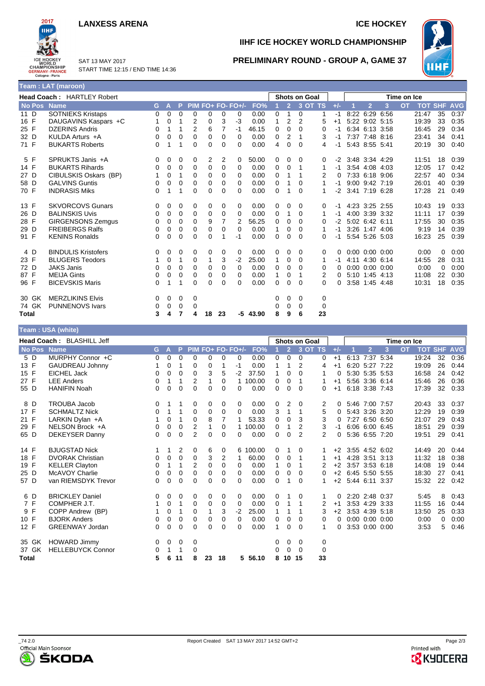#### **LANXESS ARENA ICE HOCKEY**



**Team : USA (white)**

SAT 13 MAY 2017 START TIME 12:15 / END TIME 14:36

#### **IIHF ICE HOCKEY WORLD CHAMPIONSHIP**



#### **PRELIMINARY ROUND - GROUP A, GAME 37**

|              | Team: LAT (maroon)                |   |   |          |                |          |    |                   |            |   |                |                      |          |          |      |                      |           |             |            |            |            |
|--------------|-----------------------------------|---|---|----------|----------------|----------|----|-------------------|------------|---|----------------|----------------------|----------|----------|------|----------------------|-----------|-------------|------------|------------|------------|
|              | <b>Head Coach: HARTLEY Robert</b> |   |   |          |                |          |    |                   |            |   |                | <b>Shots on Goal</b> |          |          |      |                      |           | Time on Ice |            |            |            |
| No Pos Name  |                                   | G | A |          |                |          |    | PIM FO+ FO- FO+/- | FO%        |   | $\overline{2}$ | 3 OT TS              |          | $+/-$    |      | $\overline{2}$       | 3         | <b>OT</b>   | <b>TOT</b> | <b>SHF</b> | <b>AVG</b> |
| 11 D         | <b>SOTNIEKS Kristaps</b>          | 0 | 0 | 0        | 0              | 0        | 0  | 0                 | 0.00       | 0 | 1              | 0                    | 1        | -1       |      | 8:22 6:29 6:56       |           |             | 21:47      | 35         | 0:37       |
| 16 F         | DAUGAVINS Kaspars +C              |   | 0 |          | 2              | 0        | 3  | $-3$              | 0.00       | 1 | 2              | 2                    | 5        | $+1$     |      | 5:22 9:02 5:15       |           |             | 19:39      | 33         | 0:35       |
| 25 F         | <b>DZERINS Andris</b>             | 0 |   | 1        | $\overline{2}$ | 6        | 7  | $-1$              | 46.15      | 0 | 0              | 0                    | 0        | -1       |      | 6:34 6:13 3:58       |           |             | 16:45      | 29         | 0:34       |
| 32 D         | KULDA Arturs +A                   | 0 | 0 | 0        | $\mathbf 0$    | 0        | 0  | 0                 | 0.00       | 0 | 2              |                      | 3        | -1       |      | 7:37 7:48 8:16       |           |             | 23:41      | 34         | 0:41       |
| 71 F         | <b>BUKARTS Roberts</b>            | 0 |   | 1        | $\Omega$       | $\Omega$ | 0  | 0                 | 0.00       | 4 | $\Omega$       | 0                    | 4        | -1       |      | 5:43 8:55 5:41       |           |             | 20:19      | 30         | 0:40       |
| 5 F          | SPRUKTS Janis +A                  | 0 | 0 | 0        | 0              | 2        | 2  | 0                 | 50.00      | 0 | 0              | 0                    | 0        | -2       |      | 3:48 3:34 4:29       |           |             | 11:51      | 18         | 0:39       |
| 14 F         | <b>BUKARTS Rihards</b>            | 0 | 0 | 0        | 0              | 0        | 0  | 0                 | 0.00       | 0 | 0              |                      | 1        | -1       |      | 3:54 4:08 4:03       |           |             | 12:05      | 17         | 0:42       |
| 27 D         | CIBULSKIS Oskars (BP)             |   | 0 | 1        | $\mathbf 0$    | 0        | 0  | 0                 | 0.00       | 0 |                |                      | 2        | $\Omega$ |      | 7:33 6:18 9:06       |           |             | 22:57      | 40         | 0:34       |
| 58 D         | <b>GALVINS Guntis</b>             | 0 | 0 | 0        | 0              | 0        | 0  | $\Omega$          | 0.00       | 0 |                | 0                    |          | -1       |      | 9:00 9:42 7:19       |           |             | 26:01      | 40         | 0:39       |
| 70 F         | <b>INDRASIS Miks</b>              | 0 |   |          | $\Omega$       | $\Omega$ | 0  | 0                 | 0.00       | 0 |                | 0                    |          | -2       |      | 3:41 7:19 6:28       |           |             | 17:28      | 21         | 0:49       |
| 13 F         | <b>SKVORCOVS Gunars</b>           | 0 | 0 | 0        | 0              | 0        | 0  | 0                 | 0.00       | 0 | 0              | 0                    | 0        | -1       |      | 4:23 3:25 2:55       |           |             | 10:43      | 19         | 0:33       |
| 26 D         | <b>BALINSKIS Uvis</b>             | 0 | 0 | 0        | 0              | 0        | 0  | 0                 | 0.00       | 0 |                | 0                    | 1        | -1       | 4:00 | 3:39 3:32            |           |             | 11:11      | 17         | 0:39       |
| 28 F         | <b>GIRGENSONS Zemgus</b>          | 0 | 0 | 0        | 0              | 9        | 7  | 2                 | 56.25      | 0 | 0              | 0                    | 0        | $-2$     |      | 5:02 6:42 6:11       |           |             | 17:55      | 30         | 0:35       |
| 29 D         | <b>FREIBERGS Ralfs</b>            | 0 | 0 | 0        | $\mathbf 0$    | 0        | 0  | 0                 | 0.00       | 1 | 0              | 0                    |          | -1       |      | 3:26 1:47 4:06       |           |             | 9:19       | 14         | 0:39       |
| 91 F         | <b>KENINS Ronalds</b>             | 0 | 0 | $\Omega$ | $\Omega$       | $\Omega$ |    | -1                | 0.00       | 0 | $\Omega$       | 0                    | 0        | -1       |      | 5:54 5:26 5:03       |           |             | 16:23      | 25         | 0:39       |
| 4 D          | <b>BINDULIS Kristofers</b>        | 0 | 0 | 0        | 0              | 0        | 0  | 0                 | 0.00       | 0 | 0              | 0                    | 0        |          |      | $0:00$ $0:00$ $0:00$ |           |             | 0:00       | 0          | 0:00       |
| 23 F         | <b>BLUGERS Teodors</b>            |   | 0 | 1        | 0              | 1        | 3  | $-2$              | 25.00      | 1 | 0              | 0                    | 1        | -1       |      | 4:11 4:30 6:14       |           |             | 14:55      | 28         | 0:31       |
| 72 D         | <b>JAKS Janis</b>                 | 0 | 0 | 0        | 0              | 0        | 0  | 0                 | 0.00       | 0 | 0              | 0                    | 0        |          |      | $0:00$ $0:00$ $0:00$ |           |             | 0:00       | 0          | 0:00       |
| 87 F         | <b>MEIJA Gints</b>                | 0 | 0 | 0        | 0              | 0        | 0  | 0                 | 0.00       | 1 | 0              |                      | 2        |          |      | 5:10 1:45 4:13       |           |             | 11:08      | 22         | 0:30       |
| 96 F         | <b>BICEVSKIS Maris</b>            | 0 |   |          | $\Omega$       | $\Omega$ | 0  | 0                 | 0.00       | 0 | 0              | 0                    | $\Omega$ | 0        | 3:58 |                      | 1:45 4:48 |             | 10:31      | 18         | 0:35       |
| 30 GK        | <b>MERZLIKINS Elvis</b>           | 0 | 0 | 0        | 0              |          |    |                   |            | 0 | 0              | 0                    | 0        |          |      |                      |           |             |            |            |            |
| 74 GK        | <b>PUNNENOVS Ivars</b>            | 0 | 0 | 0        | 0              |          |    |                   |            | 0 | 0              | 0                    | 0        |          |      |                      |           |             |            |            |            |
| <b>Total</b> |                                   | 3 | 4 |          | 4              | 18       | 23 |                   | $-5$ 43.90 | 8 | 9              | 6                    | 23       |          |      |                      |           |             |            |            |            |

|              | $1$ can . Our (wille)     |    |   |             |                |    |          |                   |          |                      |                |          |    |             |  |                      |   |           |                |    |            |
|--------------|---------------------------|----|---|-------------|----------------|----|----------|-------------------|----------|----------------------|----------------|----------|----|-------------|--|----------------------|---|-----------|----------------|----|------------|
|              | Head Coach: BLASHILL Jeff |    |   |             |                |    |          |                   |          | <b>Shots on Goal</b> |                |          |    | Time on Ice |  |                      |   |           |                |    |            |
| No Pos Name  |                           | G. | A | P           |                |    |          | PIM FO+ FO- FO+/- | FO%      |                      | 2 <sup>1</sup> | 3 OT TS  |    | $+/-$       |  | $\overline{2}$       | 3 | <b>OT</b> | <b>TOT SHF</b> |    | <b>AVG</b> |
| 5 D          | MURPHY Connor +C          | 0  | 0 | $\mathbf 0$ | 0              | 0  | 0        | 0                 | 0.00     | 0                    | 0              | 0        | 0  | $+1$        |  | 6:13 7:37 5:34       |   |           | 19:24          | 32 | 0:36       |
| 13 F         | GAUDREAU Johnny           |    | 0 | 1           | 0              | 0  | 1        | -1                | 0.00     | 1                    | 1              | 2        | 4  | $+1$        |  | 6:20 5:27 7:22       |   |           | 19:09          | 26 | 0:44       |
| 15 F         | <b>EICHEL Jack</b>        | 0  | 0 | 0           | 0              | 3  | 5        | $-2$              | 37.50    | 1                    | 0              | 0        | 1  | 0           |  | 5:30 5:35 5:53       |   |           | 16:58          | 24 | 0:42       |
| 27 F         | <b>LEE Anders</b>         | 0  | 1 | 1           | 2              | 1  | $\Omega$ |                   | 100.00   | 0                    | 0              | 1        |    | $+1$        |  | 5:56 3:36 6:14       |   |           | 15:46          | 26 | 0:36       |
| 55 D         | <b>HANIFIN Noah</b>       | 0  | 0 | 0           | 0              | 0  | 0        | 0                 | 0.00     | $\mathbf 0$          | 0              | 0        | 0  | $+1$        |  | 6:18 3:38 7:43       |   |           | 17:39          | 32 | 0:33       |
| 8 D          | <b>TROUBA Jacob</b>       | 0  | 1 | 1           | 0              | 0  | 0        | 0                 | 0.00     | 0                    | 2              | 0        | 2  | 0           |  | 5:46 7:00 7:57       |   |           | 20:43          | 33 | 0:37       |
| 17 F         | <b>SCHMALTZ Nick</b>      | 0  | 1 | 1           | 0              | 0  | 0        | $\Omega$          | 0.00     | 3                    | 1              | 1        | 5  | 0           |  | 5:43 3:26 3:20       |   |           | 12:29          | 19 | 0:39       |
| 21 F         | LARKIN Dylan +A           | 1  | 0 | 1           | $\Omega$       | 8  | 7        |                   | 53.33    | 0                    | 0              | 3        | 3  | 0           |  | 7:27 6:50 6:50       |   |           | 21:07          | 29 | 0:43       |
| 29 F         | NELSON Brock +A           | 0  | 0 | 0           | 2              | 1  | 0        |                   | 100.00   | 0                    | 1              | 2        | 3  | -1          |  | 6:06 6:00 6:45       |   |           | 18:51          | 29 | 0:39       |
| 65 D         | DEKEYSER Danny            | 0  | 0 | 0           | $\overline{2}$ | 0  | $\Omega$ | 0                 | 0.00     | 0                    | 0              | 2        | 2  | 0           |  | 5:36 6:55 7:20       |   |           | 19:51          | 29 | 0:41       |
| 14 F         | <b>BJUGSTAD Nick</b>      |    | 1 | 2           | 0              | 6  | 0        |                   | 6 100.00 | 0                    |                | 0        |    | $+2$        |  | 3:55 4:52 6:02       |   |           | 14:49          | 20 | 0:44       |
| 18 F         | <b>DVORAK Christian</b>   | 0  | 0 | 0           | $\Omega$       | 3  | 2        |                   | 60.00    | 0                    | 0              | 1        |    | $+1$        |  | 4:28 3:51 3:13       |   |           | 11:32          | 18 | 0:38       |
| 19 F         | <b>KELLER Clayton</b>     | 0  | 1 | 1           | 2              | 0  | $\Omega$ | $\Omega$          | 0.00     | 1                    | 0              | 1        | 2  | $+2$        |  | 3:57 3:53 6:18       |   |           | 14:08          | 19 | 0:44       |
| 25 D         | <b>McAVOY Charlie</b>     | 0  | 0 | 0           | 0              | 0  | 0        | 0                 | 0.00     | 0                    | 0              | $\Omega$ | 0  | $+2$        |  | 6:45 5:50 5:55       |   |           | 18:30          | 27 | 0:41       |
| 57 D         | van RIEMSDYK Trevor       | 0  | 0 | 0           | 0              | 0  | 0        | 0                 | 0.00     | $\Omega$             | 1              | $\Omega$ |    | $+2$        |  | 5:44 6:11 3:37       |   |           | 15:32          | 22 | 0:42       |
| 6 D          | <b>BRICKLEY Daniel</b>    | 0  | 0 | 0           | 0              | 0  | 0        | 0                 | 0.00     | 0                    |                | 0        | 1  | 0           |  | 2:20 2:48 0:37       |   |           | 5:45           | 8  | 0:43       |
| 7 F          | COMPHER J.T.              |    | 0 | 1           | 0              | 0  | 0        | 0                 | 0.00     | 0                    | 1              | 1        | 2  | $+1$        |  | 3:53 4:29 3:33       |   |           | 11:55          | 16 | 0:44       |
| 9 F          | COPP Andrew (BP)          |    | 0 | 1           | 0              | 1  | 3        | $-2$              | 25.00    | 1                    | 1              |          | 3  | $+2$        |  | 3:53 4:39 5:18       |   |           | 13:50          | 25 | 0:33       |
| 10 F         | <b>BJORK Anders</b>       | 0  | 0 | 0           | 0              | 0  | 0        | 0                 | 0.00     | 0                    | 0              | $\Omega$ | 0  | $\Omega$    |  | $0:00$ $0:00$ $0:00$ |   |           | 0:00           | 0  | 0:00       |
| 12 F         | <b>GREENWAY Jordan</b>    | 0  | 0 | 0           | 0              | 0  | 0        | 0                 | 0.00     | $\mathbf{1}$         | 0              | $\Omega$ | 1  | 0           |  | 3:53 0:00 0:00       |   |           | 3:53           | 5  | 0:46       |
| 35 GK        | <b>HOWARD Jimmy</b>       | 0  | 0 | 0           | 0              |    |          |                   |          | 0                    | 0              | 0        | 0  |             |  |                      |   |           |                |    |            |
| 37 GK        | <b>HELLEBUYCK Connor</b>  | 0  | 1 | 1           | 0              |    |          |                   |          | 0                    | $\Omega$       | $\Omega$ | 0  |             |  |                      |   |           |                |    |            |
| <b>Total</b> |                           | 5  | 6 | 11          | 8              | 23 | 18       | 5.                | 56.10    | 8                    | 10             | 15       | 33 |             |  |                      |   |           |                |    |            |